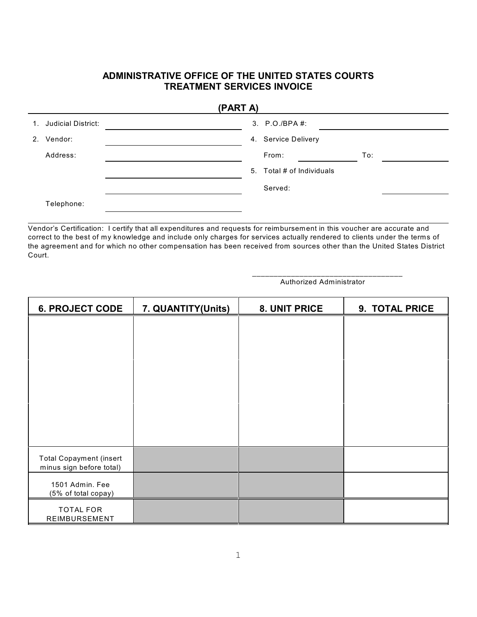## **ADMINISTRATIVE OFFICE OF THE UNITED STATES COURTS TREATMENT SERVICES INVOICE**

| (PART A)              |  |                           |     |  |  |  |  |
|-----------------------|--|---------------------------|-----|--|--|--|--|
| 1. Judicial District: |  | 3. P.O./BPA #:            |     |  |  |  |  |
| 2. Vendor:            |  | 4. Service Delivery       |     |  |  |  |  |
| Address:              |  | From:                     | To: |  |  |  |  |
|                       |  | 5. Total # of Individuals |     |  |  |  |  |
|                       |  | Served:                   |     |  |  |  |  |
| Telephone:            |  |                           |     |  |  |  |  |

Vendor's Certification: I certify that all expenditures and requests for reimbursement in this voucher are accurate and correct to the best of my knowledge and include only charges for services actually rendered to clients under the terms of the agreement and for which no other compensation has been received from sources other than the United States District Court.

> \_\_\_\_\_\_\_\_\_\_\_\_\_\_\_\_\_\_\_\_\_\_\_\_\_\_\_\_\_\_\_\_\_\_\_ Authorized Administrator

| <b>6. PROJECT CODE</b>                                     | 7. QUANTITY(Units) | 8. UNIT PRICE | 9. TOTAL PRICE |  |
|------------------------------------------------------------|--------------------|---------------|----------------|--|
|                                                            |                    |               |                |  |
|                                                            |                    |               |                |  |
|                                                            |                    |               |                |  |
|                                                            |                    |               |                |  |
|                                                            |                    |               |                |  |
|                                                            |                    |               |                |  |
|                                                            |                    |               |                |  |
|                                                            |                    |               |                |  |
| <b>Total Copayment (insert</b><br>minus sign before total) |                    |               |                |  |
| 1501 Admin. Fee<br>(5% of total copay)                     |                    |               |                |  |
| <b>TOTAL FOR</b><br>REIMBURSEMENT                          |                    |               |                |  |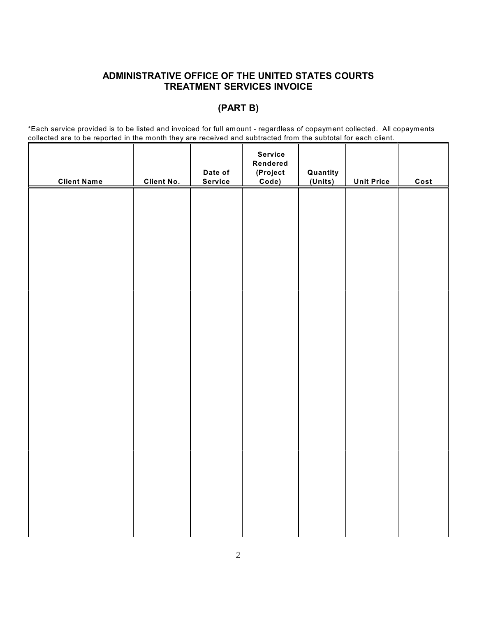## **ADMINISTRATIVE OFFICE OF THE UNITED STATES COURTS TREATMENT SERVICES INVOICE**

## **(PART B)**

\*Each service provided is to be listed and invoiced for full amount - regardless of copayment collected. All copayments collected are to be reported in the month they are received and subtracted from the subtotal for each client.

| <b>Client Name</b> | <b>Client No.</b> | Date of<br>Service | <b>Service</b><br>Rendered<br>(Project<br>Code) | Quantity<br>(Units) | <b>Unit Price</b> | Cost |
|--------------------|-------------------|--------------------|-------------------------------------------------|---------------------|-------------------|------|
|                    |                   |                    |                                                 |                     |                   |      |
|                    |                   |                    |                                                 |                     |                   |      |
|                    |                   |                    |                                                 |                     |                   |      |
|                    |                   |                    |                                                 |                     |                   |      |
|                    |                   |                    |                                                 |                     |                   |      |
|                    |                   |                    |                                                 |                     |                   |      |
|                    |                   |                    |                                                 |                     |                   |      |
|                    |                   |                    |                                                 |                     |                   |      |
|                    |                   |                    |                                                 |                     |                   |      |